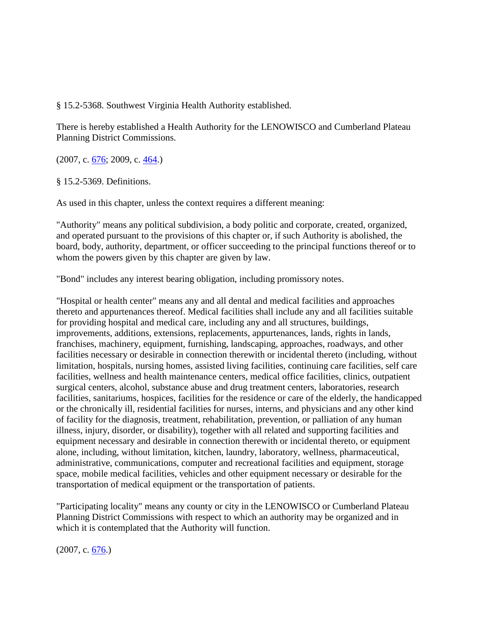§ 15.2-5368. Southwest Virginia Health Authority established.

There is hereby established a Health Authority for the LENOWISCO and Cumberland Plateau Planning District Commissions.

(2007, c. [676;](http://leg1.state.va.us/cgi-bin/legp504.exe?071+ful+CHAP0676) 2009, c. [464.](http://leg1.state.va.us/cgi-bin/legp504.exe?091+ful+CHAP0464))

§ 15.2-5369. Definitions.

As used in this chapter, unless the context requires a different meaning:

"Authority" means any political subdivision, a body politic and corporate, created, organized, and operated pursuant to the provisions of this chapter or, if such Authority is abolished, the board, body, authority, department, or officer succeeding to the principal functions thereof or to whom the powers given by this chapter are given by law.

"Bond" includes any interest bearing obligation, including promissory notes.

"Hospital or health center" means any and all dental and medical facilities and approaches thereto and appurtenances thereof. Medical facilities shall include any and all facilities suitable for providing hospital and medical care, including any and all structures, buildings, improvements, additions, extensions, replacements, appurtenances, lands, rights in lands, franchises, machinery, equipment, furnishing, landscaping, approaches, roadways, and other facilities necessary or desirable in connection therewith or incidental thereto (including, without limitation, hospitals, nursing homes, assisted living facilities, continuing care facilities, self care facilities, wellness and health maintenance centers, medical office facilities, clinics, outpatient surgical centers, alcohol, substance abuse and drug treatment centers, laboratories, research facilities, sanitariums, hospices, facilities for the residence or care of the elderly, the handicapped or the chronically ill, residential facilities for nurses, interns, and physicians and any other kind of facility for the diagnosis, treatment, rehabilitation, prevention, or palliation of any human illness, injury, disorder, or disability), together with all related and supporting facilities and equipment necessary and desirable in connection therewith or incidental thereto, or equipment alone, including, without limitation, kitchen, laundry, laboratory, wellness, pharmaceutical, administrative, communications, computer and recreational facilities and equipment, storage space, mobile medical facilities, vehicles and other equipment necessary or desirable for the transportation of medical equipment or the transportation of patients.

"Participating locality" means any county or city in the LENOWISCO or Cumberland Plateau Planning District Commissions with respect to which an authority may be organized and in which it is contemplated that the Authority will function.

(2007, c. [676.](http://leg1.state.va.us/cgi-bin/legp504.exe?071+ful+CHAP0676))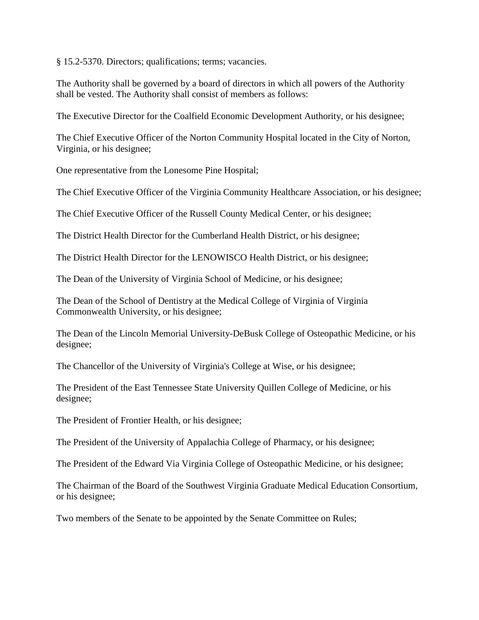§ 15.2-5370. Directors; qualifications; terms; vacancies.

The Authority shall be governed by a board of directors in which all powers of the Authority shall be vested. The Authority shall consist of members as follows:

The Executive Director for the Coalfield Economic Development Authority, or his designee;

The Chief Executive Officer of the Norton Community Hospital located in the City of Norton, Virginia, or his designee;

One representative from the Lonesome Pine Hospital;

The Chief Executive Officer of the Virginia Community Healthcare Association, or his designee;

The Chief Executive Officer of the Russell County Medical Center, or his designee;

The District Health Director for the Cumberland Health District, or his designee;

The District Health Director for the LENOWISCO Health District, or his designee;

The Dean of the University of Virginia School of Medicine, or his designee;

The Dean of the School of Dentistry at the Medical College of Virginia of Virginia Commonwealth University, or his designee;

The Dean of the Lincoln Memorial University-DeBusk College of Osteopathic Medicine, or his designee;

The Chancellor of the University of Virginia's College at Wise, or his designee;

The President of the East Tennessee State University Quillen College of Medicine, or his designee;

The President of Frontier Health, or his designee;

The President of the University of Appalachia College of Pharmacy, or his designee;

The President of the Edward Via Virginia College of Osteopathic Medicine, or his designee;

The Chairman of the Board of the Southwest Virginia Graduate Medical Education Consortium, or his designee;

Two members of the Senate to be appointed by the Senate Committee on Rules;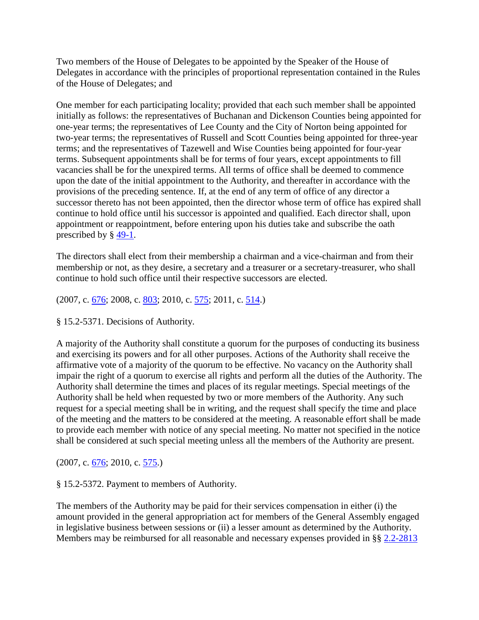Two members of the House of Delegates to be appointed by the Speaker of the House of Delegates in accordance with the principles of proportional representation contained in the Rules of the House of Delegates; and

One member for each participating locality; provided that each such member shall be appointed initially as follows: the representatives of Buchanan and Dickenson Counties being appointed for one-year terms; the representatives of Lee County and the City of Norton being appointed for two-year terms; the representatives of Russell and Scott Counties being appointed for three-year terms; and the representatives of Tazewell and Wise Counties being appointed for four-year terms. Subsequent appointments shall be for terms of four years, except appointments to fill vacancies shall be for the unexpired terms. All terms of office shall be deemed to commence upon the date of the initial appointment to the Authority, and thereafter in accordance with the provisions of the preceding sentence. If, at the end of any term of office of any director a successor thereto has not been appointed, then the director whose term of office has expired shall continue to hold office until his successor is appointed and qualified. Each director shall, upon appointment or reappointment, before entering upon his duties take and subscribe the oath prescribed by § [49-1.](http://leg1.state.va.us/cgi-bin/legp504.exe?000+cod+49-1)

The directors shall elect from their membership a chairman and a vice-chairman and from their membership or not, as they desire, a secretary and a treasurer or a secretary-treasurer, who shall continue to hold such office until their respective successors are elected.

 $(2007, c. 676; 2008, c. 803; 2010, c. 575; 2011, c. 514.)$  $(2007, c. 676; 2008, c. 803; 2010, c. 575; 2011, c. 514.)$  $(2007, c. 676; 2008, c. 803; 2010, c. 575; 2011, c. 514.)$  $(2007, c. 676; 2008, c. 803; 2010, c. 575; 2011, c. 514.)$  $(2007, c. 676; 2008, c. 803; 2010, c. 575; 2011, c. 514.)$  $(2007, c. 676; 2008, c. 803; 2010, c. 575; 2011, c. 514.)$  $(2007, c. 676; 2008, c. 803; 2010, c. 575; 2011, c. 514.)$  $(2007, c. 676; 2008, c. 803; 2010, c. 575; 2011, c. 514.)$  $(2007, c. 676; 2008, c. 803; 2010, c. 575; 2011, c. 514.)$ 

§ 15.2-5371. Decisions of Authority.

A majority of the Authority shall constitute a quorum for the purposes of conducting its business and exercising its powers and for all other purposes. Actions of the Authority shall receive the affirmative vote of a majority of the quorum to be effective. No vacancy on the Authority shall impair the right of a quorum to exercise all rights and perform all the duties of the Authority. The Authority shall determine the times and places of its regular meetings. Special meetings of the Authority shall be held when requested by two or more members of the Authority. Any such request for a special meeting shall be in writing, and the request shall specify the time and place of the meeting and the matters to be considered at the meeting. A reasonable effort shall be made to provide each member with notice of any special meeting. No matter not specified in the notice shall be considered at such special meeting unless all the members of the Authority are present.

(2007, c. [676;](http://leg1.state.va.us/cgi-bin/legp504.exe?071+ful+CHAP0676) 2010, c. [575.](http://leg1.state.va.us/cgi-bin/legp504.exe?101+ful+CHAP0575))

§ 15.2-5372. Payment to members of Authority.

The members of the Authority may be paid for their services compensation in either (i) the amount provided in the general appropriation act for members of the General Assembly engaged in legislative business between sessions or (ii) a lesser amount as determined by the Authority. Members may be reimbursed for all reasonable and necessary expenses provided in §§ [2.2-2813](http://leg1.state.va.us/cgi-bin/legp504.exe?000+cod+2.2-2813)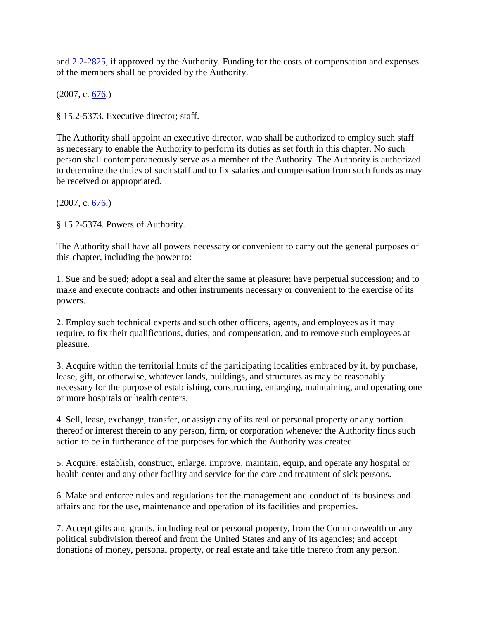and [2.2-2825,](http://leg1.state.va.us/cgi-bin/legp504.exe?000+cod+2.2-2825) if approved by the Authority. Funding for the costs of compensation and expenses of the members shall be provided by the Authority.

 $(2007, c. 676)$ 

§ 15.2-5373. Executive director; staff.

The Authority shall appoint an executive director, who shall be authorized to employ such staff as necessary to enable the Authority to perform its duties as set forth in this chapter. No such person shall contemporaneously serve as a member of the Authority. The Authority is authorized to determine the duties of such staff and to fix salaries and compensation from such funds as may be received or appropriated.

(2007, c. [676.](http://leg1.state.va.us/cgi-bin/legp504.exe?071+ful+CHAP0676))

§ 15.2-5374. Powers of Authority.

The Authority shall have all powers necessary or convenient to carry out the general purposes of this chapter, including the power to:

1. Sue and be sued; adopt a seal and alter the same at pleasure; have perpetual succession; and to make and execute contracts and other instruments necessary or convenient to the exercise of its powers.

2. Employ such technical experts and such other officers, agents, and employees as it may require, to fix their qualifications, duties, and compensation, and to remove such employees at pleasure.

3. Acquire within the territorial limits of the participating localities embraced by it, by purchase, lease, gift, or otherwise, whatever lands, buildings, and structures as may be reasonably necessary for the purpose of establishing, constructing, enlarging, maintaining, and operating one or more hospitals or health centers.

4. Sell, lease, exchange, transfer, or assign any of its real or personal property or any portion thereof or interest therein to any person, firm, or corporation whenever the Authority finds such action to be in furtherance of the purposes for which the Authority was created.

5. Acquire, establish, construct, enlarge, improve, maintain, equip, and operate any hospital or health center and any other facility and service for the care and treatment of sick persons.

6. Make and enforce rules and regulations for the management and conduct of its business and affairs and for the use, maintenance and operation of its facilities and properties.

7. Accept gifts and grants, including real or personal property, from the Commonwealth or any political subdivision thereof and from the United States and any of its agencies; and accept donations of money, personal property, or real estate and take title thereto from any person.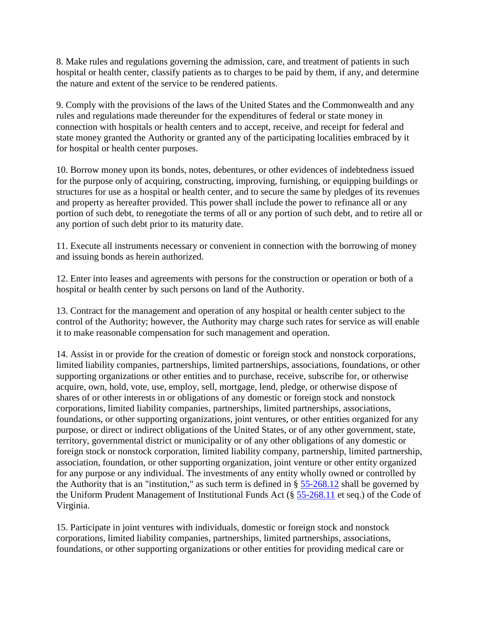8. Make rules and regulations governing the admission, care, and treatment of patients in such hospital or health center, classify patients as to charges to be paid by them, if any, and determine the nature and extent of the service to be rendered patients.

9. Comply with the provisions of the laws of the United States and the Commonwealth and any rules and regulations made thereunder for the expenditures of federal or state money in connection with hospitals or health centers and to accept, receive, and receipt for federal and state money granted the Authority or granted any of the participating localities embraced by it for hospital or health center purposes.

10. Borrow money upon its bonds, notes, debentures, or other evidences of indebtedness issued for the purpose only of acquiring, constructing, improving, furnishing, or equipping buildings or structures for use as a hospital or health center, and to secure the same by pledges of its revenues and property as hereafter provided. This power shall include the power to refinance all or any portion of such debt, to renegotiate the terms of all or any portion of such debt, and to retire all or any portion of such debt prior to its maturity date.

11. Execute all instruments necessary or convenient in connection with the borrowing of money and issuing bonds as herein authorized.

12. Enter into leases and agreements with persons for the construction or operation or both of a hospital or health center by such persons on land of the Authority.

13. Contract for the management and operation of any hospital or health center subject to the control of the Authority; however, the Authority may charge such rates for service as will enable it to make reasonable compensation for such management and operation.

14. Assist in or provide for the creation of domestic or foreign stock and nonstock corporations, limited liability companies, partnerships, limited partnerships, associations, foundations, or other supporting organizations or other entities and to purchase, receive, subscribe for, or otherwise acquire, own, hold, vote, use, employ, sell, mortgage, lend, pledge, or otherwise dispose of shares of or other interests in or obligations of any domestic or foreign stock and nonstock corporations, limited liability companies, partnerships, limited partnerships, associations, foundations, or other supporting organizations, joint ventures, or other entities organized for any purpose, or direct or indirect obligations of the United States, or of any other government, state, territory, governmental district or municipality or of any other obligations of any domestic or foreign stock or nonstock corporation, limited liability company, partnership, limited partnership, association, foundation, or other supporting organization, joint venture or other entity organized for any purpose or any individual. The investments of any entity wholly owned or controlled by the Authority that is an "institution," as such term is defined in § [55-268.12](http://leg1.state.va.us/cgi-bin/legp504.exe?000+cod+55-268.12) shall be governed by the Uniform Prudent Management of Institutional Funds Act (§ [55-268.11](http://leg1.state.va.us/cgi-bin/legp504.exe?000+cod+55-268.11) et seq.) of the Code of Virginia.

15. Participate in joint ventures with individuals, domestic or foreign stock and nonstock corporations, limited liability companies, partnerships, limited partnerships, associations, foundations, or other supporting organizations or other entities for providing medical care or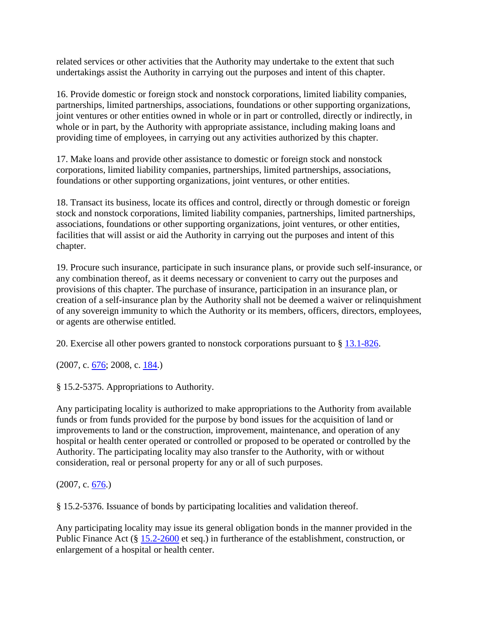related services or other activities that the Authority may undertake to the extent that such undertakings assist the Authority in carrying out the purposes and intent of this chapter.

16. Provide domestic or foreign stock and nonstock corporations, limited liability companies, partnerships, limited partnerships, associations, foundations or other supporting organizations, joint ventures or other entities owned in whole or in part or controlled, directly or indirectly, in whole or in part, by the Authority with appropriate assistance, including making loans and providing time of employees, in carrying out any activities authorized by this chapter.

17. Make loans and provide other assistance to domestic or foreign stock and nonstock corporations, limited liability companies, partnerships, limited partnerships, associations, foundations or other supporting organizations, joint ventures, or other entities.

18. Transact its business, locate its offices and control, directly or through domestic or foreign stock and nonstock corporations, limited liability companies, partnerships, limited partnerships, associations, foundations or other supporting organizations, joint ventures, or other entities, facilities that will assist or aid the Authority in carrying out the purposes and intent of this chapter.

19. Procure such insurance, participate in such insurance plans, or provide such self-insurance, or any combination thereof, as it deems necessary or convenient to carry out the purposes and provisions of this chapter. The purchase of insurance, participation in an insurance plan, or creation of a self-insurance plan by the Authority shall not be deemed a waiver or relinquishment of any sovereign immunity to which the Authority or its members, officers, directors, employees, or agents are otherwise entitled.

20. Exercise all other powers granted to nonstock corporations pursuant to § [13.1-826.](http://leg1.state.va.us/cgi-bin/legp504.exe?000+cod+13.1-826)

(2007, c. [676;](http://leg1.state.va.us/cgi-bin/legp504.exe?071+ful+CHAP0676) 2008, c. [184.](http://leg1.state.va.us/cgi-bin/legp504.exe?081+ful+CHAP0184))

§ 15.2-5375. Appropriations to Authority.

Any participating locality is authorized to make appropriations to the Authority from available funds or from funds provided for the purpose by bond issues for the acquisition of land or improvements to land or the construction, improvement, maintenance, and operation of any hospital or health center operated or controlled or proposed to be operated or controlled by the Authority. The participating locality may also transfer to the Authority, with or without consideration, real or personal property for any or all of such purposes.

(2007, c. [676.](http://leg1.state.va.us/cgi-bin/legp504.exe?071+ful+CHAP0676))

§ 15.2-5376. Issuance of bonds by participating localities and validation thereof.

Any participating locality may issue its general obligation bonds in the manner provided in the Public Finance Act (§ [15.2-2600](http://leg1.state.va.us/cgi-bin/legp504.exe?000+cod+15.2-2600) et seq.) in furtherance of the establishment, construction, or enlargement of a hospital or health center.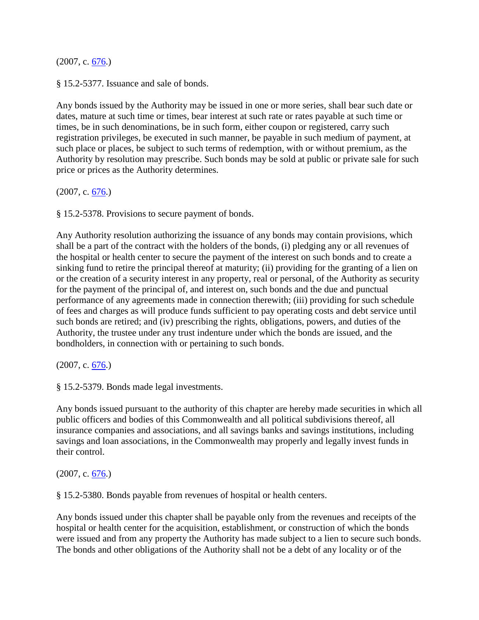(2007, c. [676.](http://leg1.state.va.us/cgi-bin/legp504.exe?071+ful+CHAP0676))

§ 15.2-5377. Issuance and sale of bonds.

Any bonds issued by the Authority may be issued in one or more series, shall bear such date or dates, mature at such time or times, bear interest at such rate or rates payable at such time or times, be in such denominations, be in such form, either coupon or registered, carry such registration privileges, be executed in such manner, be payable in such medium of payment, at such place or places, be subject to such terms of redemption, with or without premium, as the Authority by resolution may prescribe. Such bonds may be sold at public or private sale for such price or prices as the Authority determines.

 $(2007, c. 676.)$  $(2007, c. 676.)$  $(2007, c. 676.)$ 

§ 15.2-5378. Provisions to secure payment of bonds.

Any Authority resolution authorizing the issuance of any bonds may contain provisions, which shall be a part of the contract with the holders of the bonds, (i) pledging any or all revenues of the hospital or health center to secure the payment of the interest on such bonds and to create a sinking fund to retire the principal thereof at maturity; (ii) providing for the granting of a lien on or the creation of a security interest in any property, real or personal, of the Authority as security for the payment of the principal of, and interest on, such bonds and the due and punctual performance of any agreements made in connection therewith; (iii) providing for such schedule of fees and charges as will produce funds sufficient to pay operating costs and debt service until such bonds are retired; and (iv) prescribing the rights, obligations, powers, and duties of the Authority, the trustee under any trust indenture under which the bonds are issued, and the bondholders, in connection with or pertaining to such bonds.

(2007, c. [676.](http://leg1.state.va.us/cgi-bin/legp504.exe?071+ful+CHAP0676))

§ 15.2-5379. Bonds made legal investments.

Any bonds issued pursuant to the authority of this chapter are hereby made securities in which all public officers and bodies of this Commonwealth and all political subdivisions thereof, all insurance companies and associations, and all savings banks and savings institutions, including savings and loan associations, in the Commonwealth may properly and legally invest funds in their control.

 $(2007, c. 676.)$  $(2007, c. 676.)$  $(2007, c. 676.)$ 

§ 15.2-5380. Bonds payable from revenues of hospital or health centers.

Any bonds issued under this chapter shall be payable only from the revenues and receipts of the hospital or health center for the acquisition, establishment, or construction of which the bonds were issued and from any property the Authority has made subject to a lien to secure such bonds. The bonds and other obligations of the Authority shall not be a debt of any locality or of the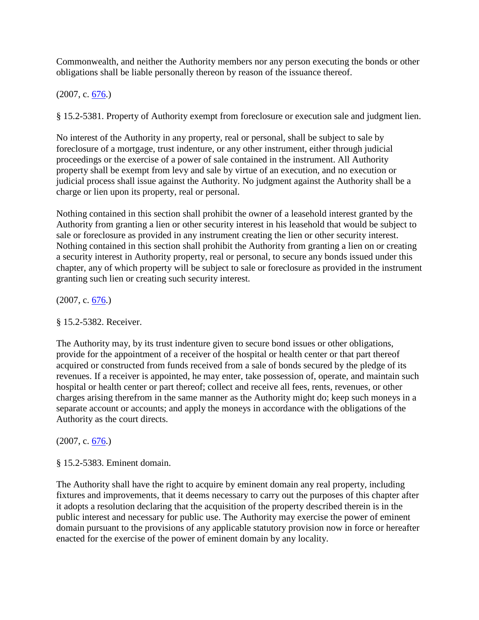Commonwealth, and neither the Authority members nor any person executing the bonds or other obligations shall be liable personally thereon by reason of the issuance thereof.

 $(2007, c. 676)$ 

§ 15.2-5381. Property of Authority exempt from foreclosure or execution sale and judgment lien.

No interest of the Authority in any property, real or personal, shall be subject to sale by foreclosure of a mortgage, trust indenture, or any other instrument, either through judicial proceedings or the exercise of a power of sale contained in the instrument. All Authority property shall be exempt from levy and sale by virtue of an execution, and no execution or judicial process shall issue against the Authority. No judgment against the Authority shall be a charge or lien upon its property, real or personal.

Nothing contained in this section shall prohibit the owner of a leasehold interest granted by the Authority from granting a lien or other security interest in his leasehold that would be subject to sale or foreclosure as provided in any instrument creating the lien or other security interest. Nothing contained in this section shall prohibit the Authority from granting a lien on or creating a security interest in Authority property, real or personal, to secure any bonds issued under this chapter, any of which property will be subject to sale or foreclosure as provided in the instrument granting such lien or creating such security interest.

(2007, c. [676.](http://leg1.state.va.us/cgi-bin/legp504.exe?071+ful+CHAP0676))

## § 15.2-5382. Receiver.

The Authority may, by its trust indenture given to secure bond issues or other obligations, provide for the appointment of a receiver of the hospital or health center or that part thereof acquired or constructed from funds received from a sale of bonds secured by the pledge of its revenues. If a receiver is appointed, he may enter, take possession of, operate, and maintain such hospital or health center or part thereof; collect and receive all fees, rents, revenues, or other charges arising therefrom in the same manner as the Authority might do; keep such moneys in a separate account or accounts; and apply the moneys in accordance with the obligations of the Authority as the court directs.

## (2007, c. [676.](http://leg1.state.va.us/cgi-bin/legp504.exe?071+ful+CHAP0676))

## § 15.2-5383. Eminent domain.

The Authority shall have the right to acquire by eminent domain any real property, including fixtures and improvements, that it deems necessary to carry out the purposes of this chapter after it adopts a resolution declaring that the acquisition of the property described therein is in the public interest and necessary for public use. The Authority may exercise the power of eminent domain pursuant to the provisions of any applicable statutory provision now in force or hereafter enacted for the exercise of the power of eminent domain by any locality.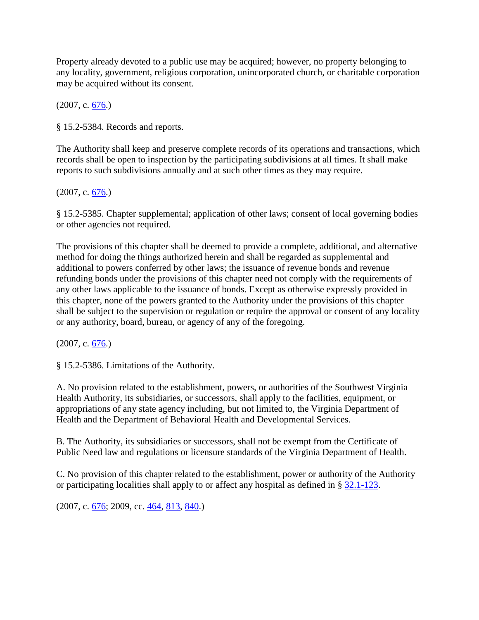Property already devoted to a public use may be acquired; however, no property belonging to any locality, government, religious corporation, unincorporated church, or charitable corporation may be acquired without its consent.

(2007, c. [676.](http://leg1.state.va.us/cgi-bin/legp504.exe?071+ful+CHAP0676))

§ 15.2-5384. Records and reports.

The Authority shall keep and preserve complete records of its operations and transactions, which records shall be open to inspection by the participating subdivisions at all times. It shall make reports to such subdivisions annually and at such other times as they may require.

(2007, c. [676.](http://leg1.state.va.us/cgi-bin/legp504.exe?071+ful+CHAP0676))

§ 15.2-5385. Chapter supplemental; application of other laws; consent of local governing bodies or other agencies not required.

The provisions of this chapter shall be deemed to provide a complete, additional, and alternative method for doing the things authorized herein and shall be regarded as supplemental and additional to powers conferred by other laws; the issuance of revenue bonds and revenue refunding bonds under the provisions of this chapter need not comply with the requirements of any other laws applicable to the issuance of bonds. Except as otherwise expressly provided in this chapter, none of the powers granted to the Authority under the provisions of this chapter shall be subject to the supervision or regulation or require the approval or consent of any locality or any authority, board, bureau, or agency of any of the foregoing.

 $(2007, c. 676)$ 

§ 15.2-5386. Limitations of the Authority.

A. No provision related to the establishment, powers, or authorities of the Southwest Virginia Health Authority, its subsidiaries, or successors, shall apply to the facilities, equipment, or appropriations of any state agency including, but not limited to, the Virginia Department of Health and the Department of Behavioral Health and Developmental Services.

B. The Authority, its subsidiaries or successors, shall not be exempt from the Certificate of Public Need law and regulations or licensure standards of the Virginia Department of Health.

C. No provision of this chapter related to the establishment, power or authority of the Authority or participating localities shall apply to or affect any hospital as defined in § [32.1-123.](http://leg1.state.va.us/cgi-bin/legp504.exe?000+cod+32.1-123)

 $(2007, c. 676; 2009, cc. 464, 813, 840.)$  $(2007, c. 676; 2009, cc. 464, 813, 840.)$  $(2007, c. 676; 2009, cc. 464, 813, 840.)$  $(2007, c. 676; 2009, cc. 464, 813, 840.)$  $(2007, c. 676; 2009, cc. 464, 813, 840.)$  $(2007, c. 676; 2009, cc. 464, 813, 840.)$  $(2007, c. 676; 2009, cc. 464, 813, 840.)$